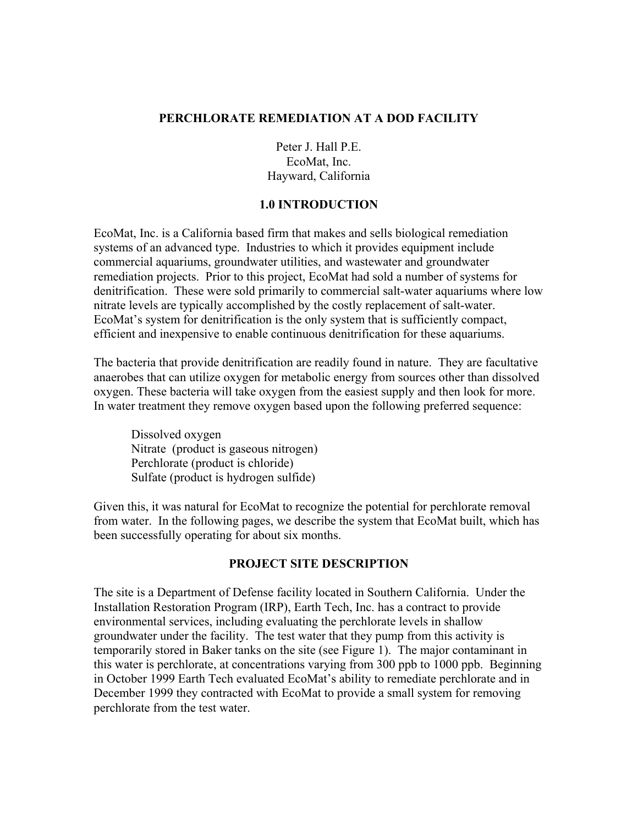#### **PERCHLORATE REMEDIATION AT A DOD FACILITY**

Peter J. Hall P.E. EcoMat, Inc. Hayward, California

#### **1.0 INTRODUCTION**

EcoMat, Inc. is a California based firm that makes and sells biological remediation systems of an advanced type. Industries to which it provides equipment include commercial aquariums, groundwater utilities, and wastewater and groundwater remediation projects. Prior to this project, EcoMat had sold a number of systems for denitrification. These were sold primarily to commercial salt-water aquariums where low nitrate levels are typically accomplished by the costly replacement of salt-water. EcoMat's system for denitrification is the only system that is sufficiently compact, efficient and inexpensive to enable continuous denitrification for these aquariums.

The bacteria that provide denitrification are readily found in nature. They are facultative anaerobes that can utilize oxygen for metabolic energy from sources other than dissolved oxygen. These bacteria will take oxygen from the easiest supply and then look for more. In water treatment they remove oxygen based upon the following preferred sequence:

 Dissolved oxygen Nitrate (product is gaseous nitrogen) Perchlorate (product is chloride) Sulfate (product is hydrogen sulfide)

Given this, it was natural for EcoMat to recognize the potential for perchlorate removal from water. In the following pages, we describe the system that EcoMat built, which has been successfully operating for about six months.

## **PROJECT SITE DESCRIPTION**

The site is a Department of Defense facility located in Southern California. Under the Installation Restoration Program (IRP), Earth Tech, Inc. has a contract to provide environmental services, including evaluating the perchlorate levels in shallow groundwater under the facility. The test water that they pump from this activity is temporarily stored in Baker tanks on the site (see Figure 1). The major contaminant in this water is perchlorate, at concentrations varying from 300 ppb to 1000 ppb. Beginning in October 1999 Earth Tech evaluated EcoMat's ability to remediate perchlorate and in December 1999 they contracted with EcoMat to provide a small system for removing perchlorate from the test water.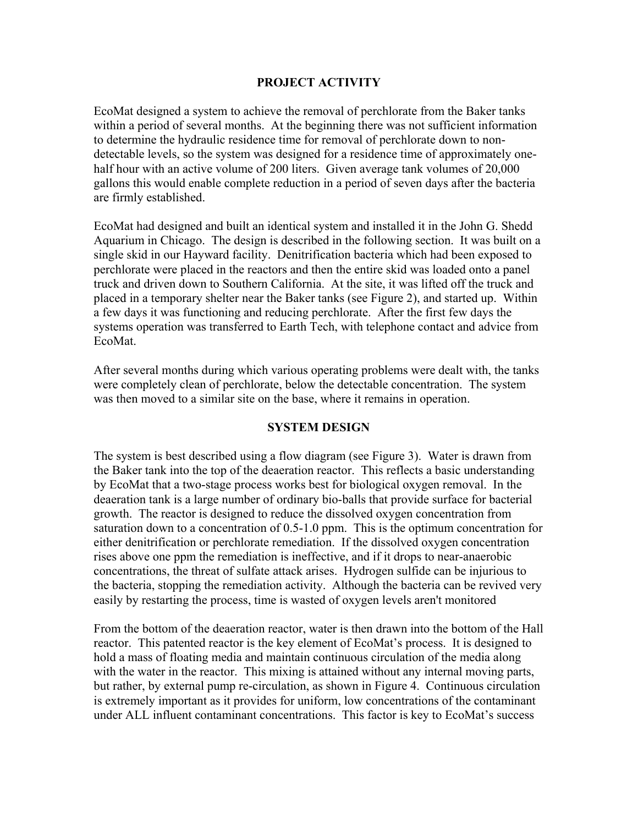### **PROJECT ACTIVITY**

EcoMat designed a system to achieve the removal of perchlorate from the Baker tanks within a period of several months. At the beginning there was not sufficient information to determine the hydraulic residence time for removal of perchlorate down to nondetectable levels, so the system was designed for a residence time of approximately onehalf hour with an active volume of 200 liters. Given average tank volumes of 20,000 gallons this would enable complete reduction in a period of seven days after the bacteria are firmly established.

EcoMat had designed and built an identical system and installed it in the John G. Shedd Aquarium in Chicago. The design is described in the following section. It was built on a single skid in our Hayward facility. Denitrification bacteria which had been exposed to perchlorate were placed in the reactors and then the entire skid was loaded onto a panel truck and driven down to Southern California. At the site, it was lifted off the truck and placed in a temporary shelter near the Baker tanks (see Figure 2), and started up. Within a few days it was functioning and reducing perchlorate. After the first few days the systems operation was transferred to Earth Tech, with telephone contact and advice from EcoMat.

After several months during which various operating problems were dealt with, the tanks were completely clean of perchlorate, below the detectable concentration. The system was then moved to a similar site on the base, where it remains in operation.

#### **SYSTEM DESIGN**

The system is best described using a flow diagram (see Figure 3). Water is drawn from the Baker tank into the top of the deaeration reactor. This reflects a basic understanding by EcoMat that a two-stage process works best for biological oxygen removal. In the deaeration tank is a large number of ordinary bio-balls that provide surface for bacterial growth. The reactor is designed to reduce the dissolved oxygen concentration from saturation down to a concentration of 0.5-1.0 ppm. This is the optimum concentration for either denitrification or perchlorate remediation. If the dissolved oxygen concentration rises above one ppm the remediation is ineffective, and if it drops to near-anaerobic concentrations, the threat of sulfate attack arises. Hydrogen sulfide can be injurious to the bacteria, stopping the remediation activity. Although the bacteria can be revived very easily by restarting the process, time is wasted of oxygen levels aren't monitored

From the bottom of the deaeration reactor, water is then drawn into the bottom of the Hall reactor. This patented reactor is the key element of EcoMat's process. It is designed to hold a mass of floating media and maintain continuous circulation of the media along with the water in the reactor. This mixing is attained without any internal moving parts, but rather, by external pump re-circulation, as shown in Figure 4. Continuous circulation is extremely important as it provides for uniform, low concentrations of the contaminant under ALL influent contaminant concentrations. This factor is key to EcoMat's success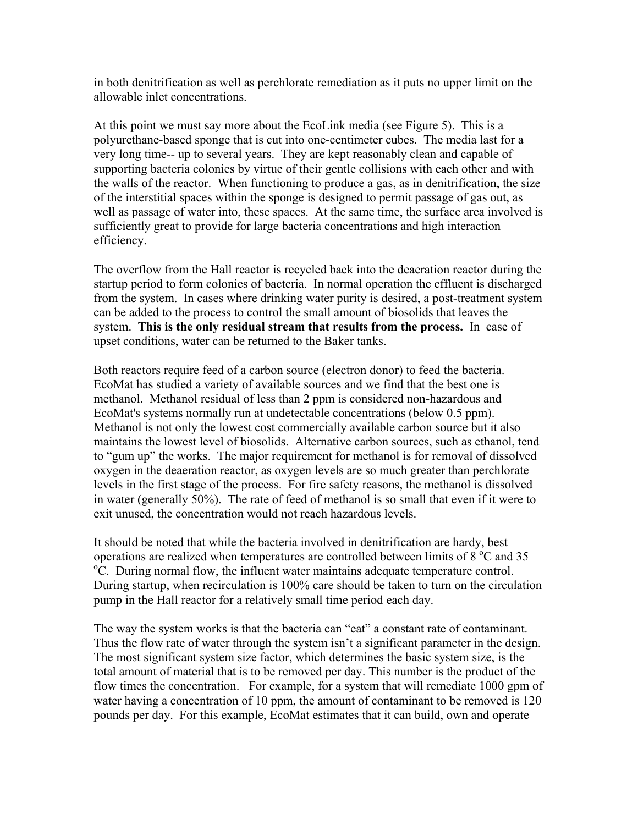in both denitrification as well as perchlorate remediation as it puts no upper limit on the allowable inlet concentrations.

At this point we must say more about the EcoLink media (see Figure 5). This is a polyurethane-based sponge that is cut into one-centimeter cubes. The media last for a very long time-- up to several years. They are kept reasonably clean and capable of supporting bacteria colonies by virtue of their gentle collisions with each other and with the walls of the reactor. When functioning to produce a gas, as in denitrification, the size of the interstitial spaces within the sponge is designed to permit passage of gas out, as well as passage of water into, these spaces. At the same time, the surface area involved is sufficiently great to provide for large bacteria concentrations and high interaction efficiency.

The overflow from the Hall reactor is recycled back into the deaeration reactor during the startup period to form colonies of bacteria. In normal operation the effluent is discharged from the system. In cases where drinking water purity is desired, a post-treatment system can be added to the process to control the small amount of biosolids that leaves the system. **This is the only residual stream that results from the process.** In case of upset conditions, water can be returned to the Baker tanks.

Both reactors require feed of a carbon source (electron donor) to feed the bacteria. EcoMat has studied a variety of available sources and we find that the best one is methanol. Methanol residual of less than 2 ppm is considered non-hazardous and EcoMat's systems normally run at undetectable concentrations (below 0.5 ppm). Methanol is not only the lowest cost commercially available carbon source but it also maintains the lowest level of biosolids. Alternative carbon sources, such as ethanol, tend to "gum up" the works. The major requirement for methanol is for removal of dissolved oxygen in the deaeration reactor, as oxygen levels are so much greater than perchlorate levels in the first stage of the process. For fire safety reasons, the methanol is dissolved in water (generally 50%). The rate of feed of methanol is so small that even if it were to exit unused, the concentration would not reach hazardous levels.

It should be noted that while the bacteria involved in denitrification are hardy, best operations are realized when temperatures are controlled between limits of  $8^{\circ}$ C and 35 occurring parameters are control flow the influent water maintains adequate temperature control C. During normal flow, the influent water maintains adequate temperature control. During startup, when recirculation is 100% care should be taken to turn on the circulation pump in the Hall reactor for a relatively small time period each day.

The way the system works is that the bacteria can "eat" a constant rate of contaminant. Thus the flow rate of water through the system isn't a significant parameter in the design. The most significant system size factor, which determines the basic system size, is the total amount of material that is to be removed per day. This number is the product of the flow times the concentration. For example, for a system that will remediate 1000 gpm of water having a concentration of 10 ppm, the amount of contaminant to be removed is  $120$ pounds per day. For this example, EcoMat estimates that it can build, own and operate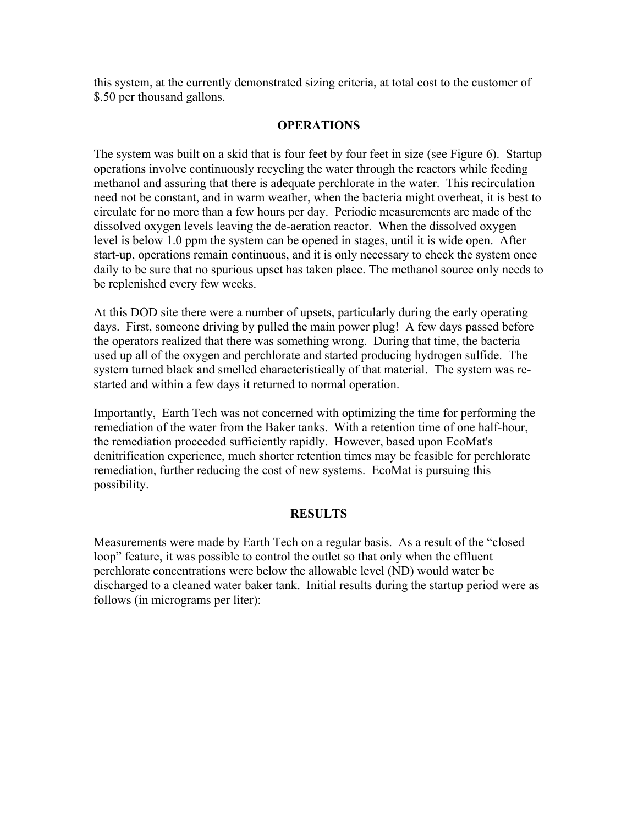this system, at the currently demonstrated sizing criteria, at total cost to the customer of \$.50 per thousand gallons.

## **OPERATIONS**

The system was built on a skid that is four feet by four feet in size (see Figure 6). Startup operations involve continuously recycling the water through the reactors while feeding methanol and assuring that there is adequate perchlorate in the water. This recirculation need not be constant, and in warm weather, when the bacteria might overheat, it is best to circulate for no more than a few hours per day. Periodic measurements are made of the dissolved oxygen levels leaving the de-aeration reactor. When the dissolved oxygen level is below 1.0 ppm the system can be opened in stages, until it is wide open. After start-up, operations remain continuous, and it is only necessary to check the system once daily to be sure that no spurious upset has taken place. The methanol source only needs to be replenished every few weeks.

At this DOD site there were a number of upsets, particularly during the early operating days. First, someone driving by pulled the main power plug! A few days passed before the operators realized that there was something wrong. During that time, the bacteria used up all of the oxygen and perchlorate and started producing hydrogen sulfide. The system turned black and smelled characteristically of that material. The system was restarted and within a few days it returned to normal operation.

Importantly, Earth Tech was not concerned with optimizing the time for performing the remediation of the water from the Baker tanks. With a retention time of one half-hour, the remediation proceeded sufficiently rapidly. However, based upon EcoMat's denitrification experience, much shorter retention times may be feasible for perchlorate remediation, further reducing the cost of new systems. EcoMat is pursuing this possibility.

#### **RESULTS**

Measurements were made by Earth Tech on a regular basis. As a result of the "closed" loop" feature, it was possible to control the outlet so that only when the effluent perchlorate concentrations were below the allowable level (ND) would water be discharged to a cleaned water baker tank. Initial results during the startup period were as follows (in micrograms per liter):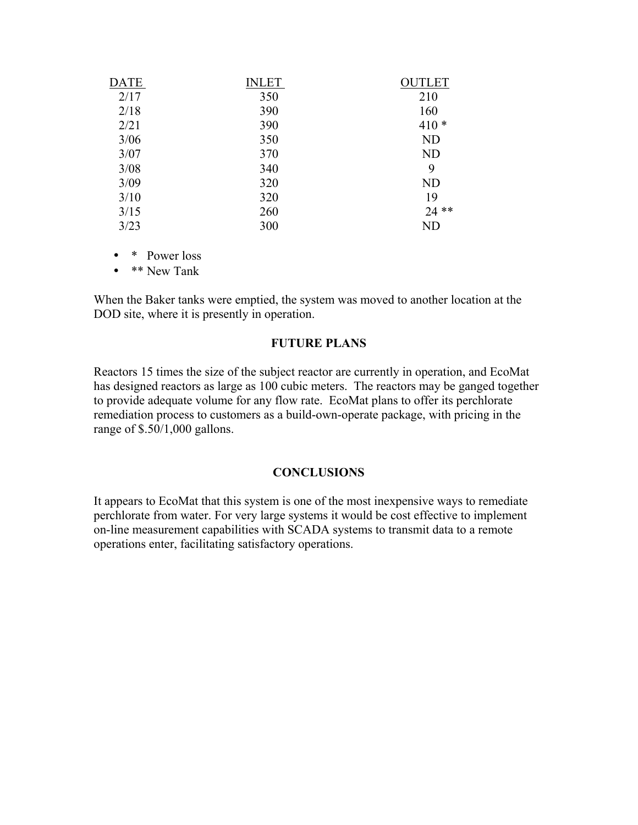| <b>DATE</b> | <b>INLET</b> | <b>OUTLET</b> |
|-------------|--------------|---------------|
| 2/17        | 350          | 210           |
| 2/18        | 390          | 160           |
| 2/21        | 390          | $410*$        |
| 3/06        | 350          | <b>ND</b>     |
| 3/07        | 370          | <b>ND</b>     |
| 3/08        | 340          | 9             |
| 3/09        | 320          | <b>ND</b>     |
| 3/10        | 320          | 19            |
| 3/15        | 260          | $24$ **       |
| 3/23        | 300          | ND            |

• \* Power loss

• **\*\*** New Tank

When the Baker tanks were emptied, the system was moved to another location at the DOD site, where it is presently in operation.

#### **FUTURE PLANS**

Reactors 15 times the size of the subject reactor are currently in operation, and EcoMat has designed reactors as large as 100 cubic meters. The reactors may be ganged together to provide adequate volume for any flow rate. EcoMat plans to offer its perchlorate remediation process to customers as a build-own-operate package, with pricing in the range of \$.50/1,000 gallons.

#### **CONCLUSIONS**

It appears to EcoMat that this system is one of the most inexpensive ways to remediate perchlorate from water. For very large systems it would be cost effective to implement on-line measurement capabilities with SCADA systems to transmit data to a remote operations enter, facilitating satisfactory operations.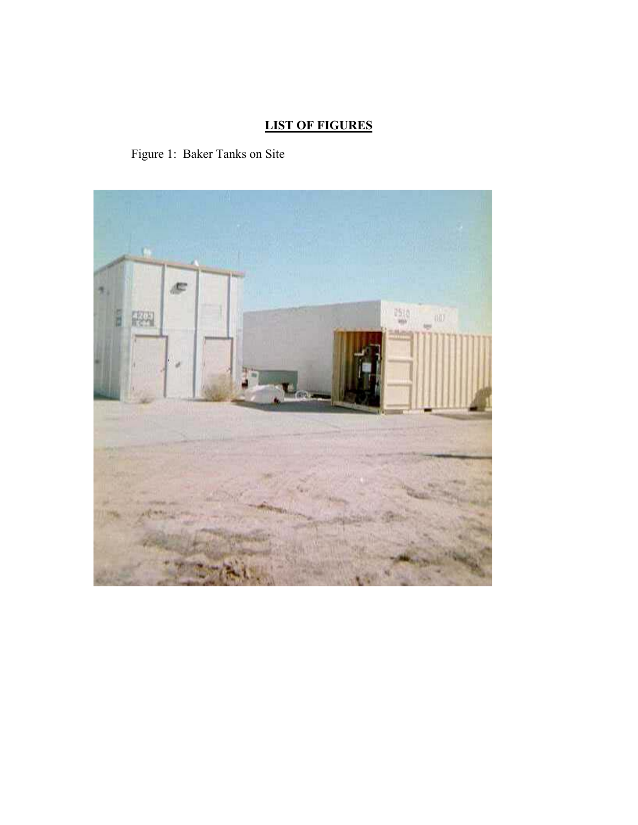# **LIST OF FIGURES**

Figure 1: Baker Tanks on Site

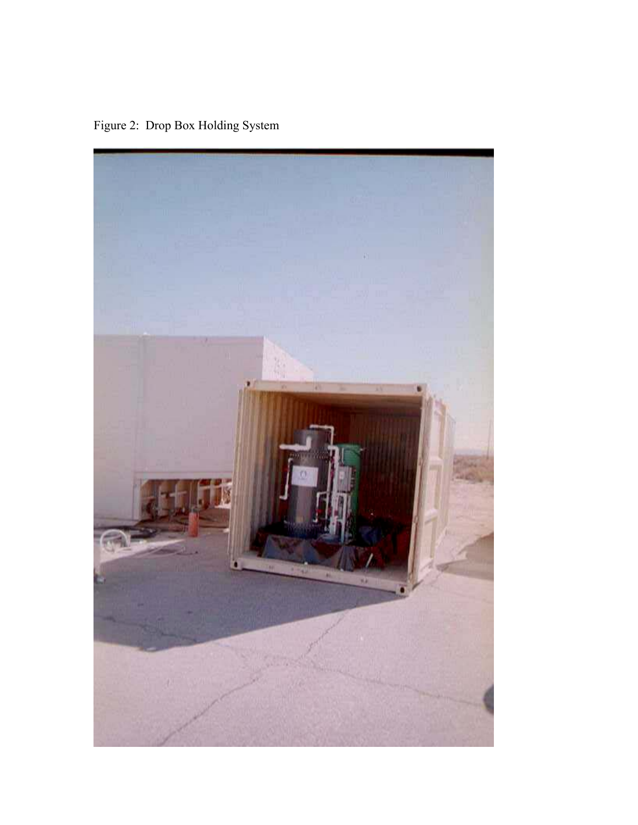Figure 2: Drop Box Holding System

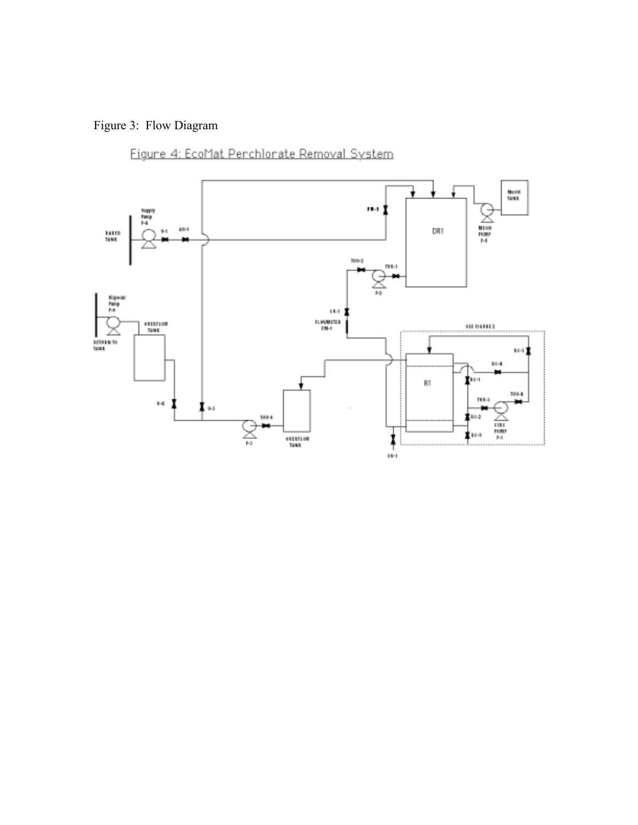# Figure 3: Flow Diagram

Figure 4: EcoMat Perchlorate Removal System

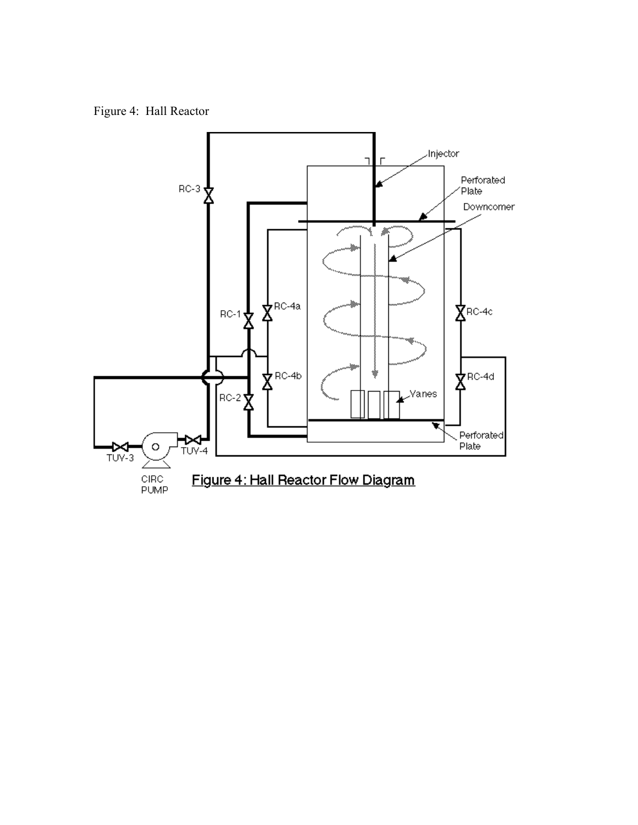Figure 4: Hall Reactor

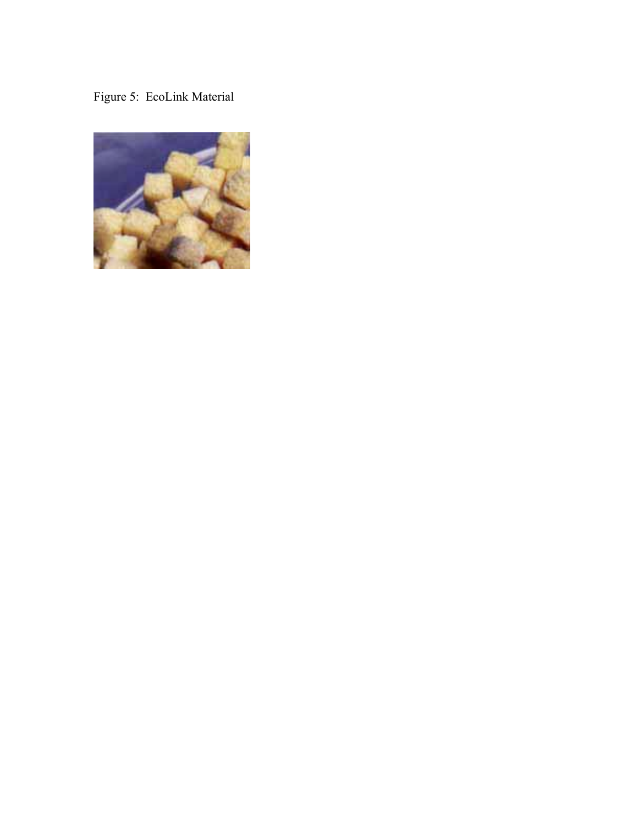# Figure 5: EcoLink Material